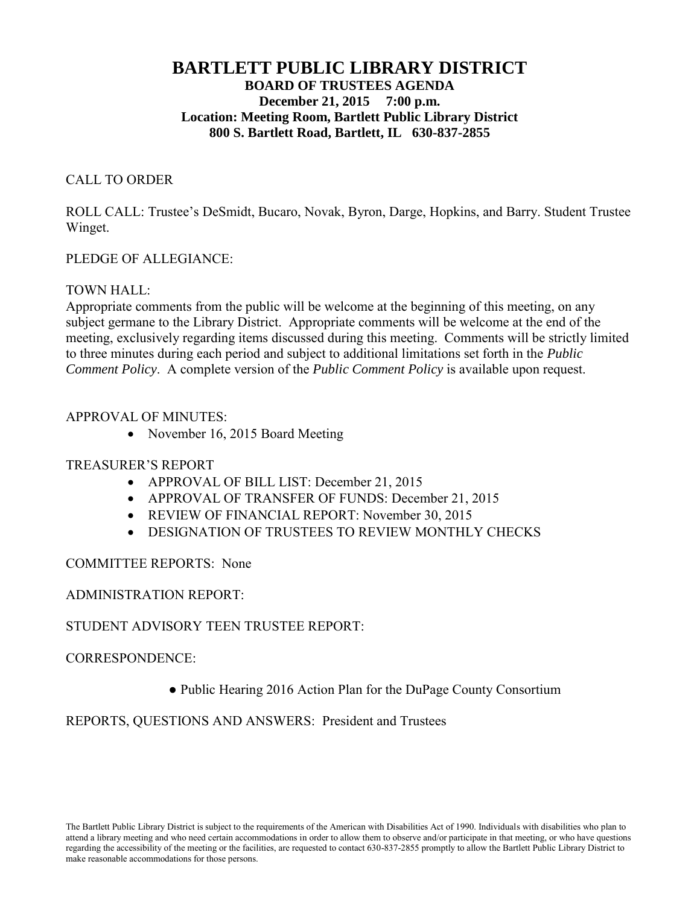# **BARTLETT PUBLIC LIBRARY DISTRICT BOARD OF TRUSTEES AGENDA December 21, 2015 7:00 p.m. Location: Meeting Room, Bartlett Public Library District 800 S. Bartlett Road, Bartlett, IL 630-837-2855**

### CALL TO ORDER

ROLL CALL: Trustee's DeSmidt, Bucaro, Novak, Byron, Darge, Hopkins, and Barry. Student Trustee Winget.

### PLEDGE OF ALLEGIANCE:

### TOWN HALL:

Appropriate comments from the public will be welcome at the beginning of this meeting, on any subject germane to the Library District. Appropriate comments will be welcome at the end of the meeting, exclusively regarding items discussed during this meeting. Comments will be strictly limited to three minutes during each period and subject to additional limitations set forth in the *Public Comment Policy*. A complete version of the *Public Comment Policy* is available upon request.

### APPROVAL OF MINUTES:

• November 16, 2015 Board Meeting

## TREASURER'S REPORT

- APPROVAL OF BILL LIST: December 21, 2015
- APPROVAL OF TRANSFER OF FUNDS: December 21, 2015
- REVIEW OF FINANCIAL REPORT: November 30, 2015
- DESIGNATION OF TRUSTEES TO REVIEW MONTHLY CHECKS

## COMMITTEE REPORTS: None

## ADMINISTRATION REPORT:

## STUDENT ADVISORY TEEN TRUSTEE REPORT:

### CORRESPONDENCE:

● Public Hearing 2016 Action Plan for the DuPage County Consortium

### REPORTS, QUESTIONS AND ANSWERS: President and Trustees